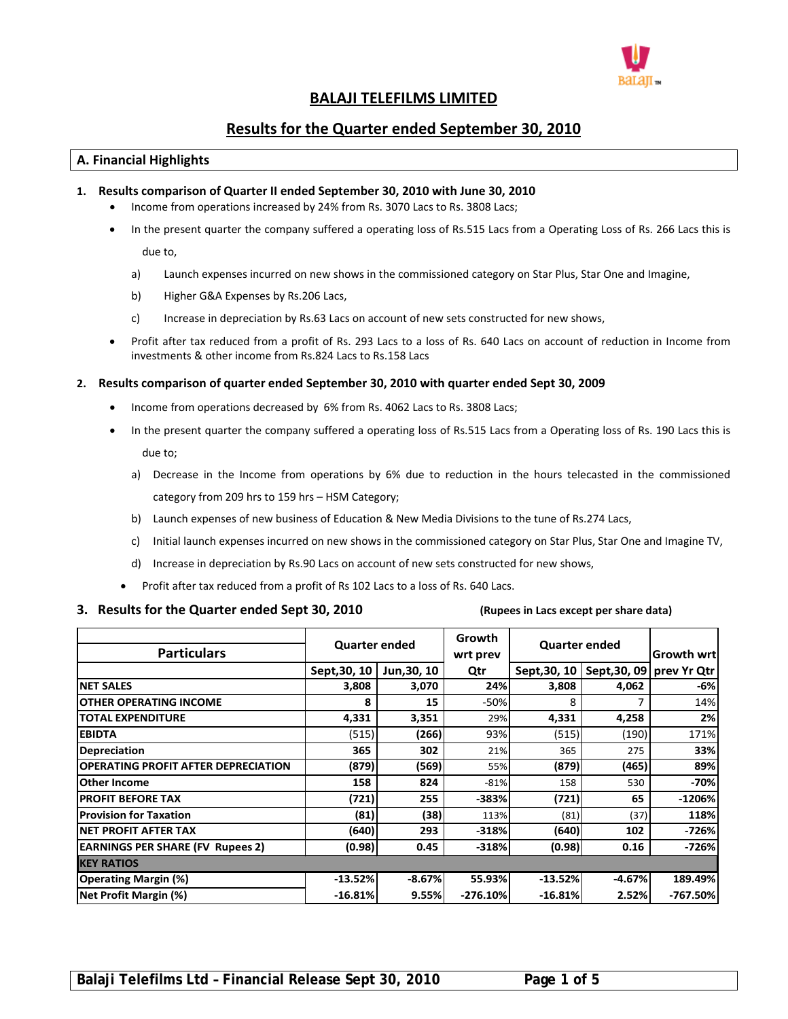

# **BALAJI TELEFILMS LIMITED**

# **Results for the Quarter ended September 30, 2010**

## **A. Financial Highlights**

## **1. Results comparison of Quarter II ended September 30, 2010 with June 30, 2010**

- Income from operations increased by 24% from Rs. 3070 Lacs to Rs. 3808 Lacs;
- In the present quarter the company suffered a operating loss of Rs.515 Lacs from a Operating Loss of Rs. 266 Lacs this is

due to,

- a) Launch expenses incurred on new shows in the commissioned category on Star Plus, Star One and Imagine,
- b) Higher G&A Expenses by Rs.206 Lacs,
- c) Increase in depreciation by Rs.63 Lacs on account of new sets constructed for new shows,
- Profit after tax reduced from a profit of Rs. 293 Lacs to a loss of Rs. 640 Lacs on account of reduction in Income from investments & other income from Rs.824 Lacs to Rs.158 Lacs

#### **2. Results comparison of quarter ended September 30, 2010 with quarter ended Sept 30, 2009**

- Income from operations decreased by 6% from Rs. 4062 Lacs to Rs. 3808 Lacs;
- In the present quarter the company suffered a operating loss of Rs.515 Lacs from a Operating loss of Rs. 190 Lacs this is due to;
	- a) Decrease in the Income from operations by 6% due to reduction in the hours telecasted in the commissioned category from 209 hrs to 159 hrs – HSM Category;
	- b) Launch expenses of new business of Education & New Media Divisions to the tune of Rs.274 Lacs,
	- c) Initial launch expenses incurred on new shows in the commissioned category on Star Plus, Star One and Imagine TV,
	- d) Increase in depreciation by Rs.90 Lacs on account of new sets constructed for new shows,
	- Profit after tax reduced from a profit of Rs 102 Lacs to a loss of Rs. 640 Lacs.

## 3. Results for the Quarter ended Sept 30, 2010 (Rupees in Lacs except per share data)

| <b>Particulars</b>                         | <b>Quarter ended</b> |             | Growth<br>wrt prev | <b>Quarter ended</b> |                          | <b>Growth wrtl</b> |  |
|--------------------------------------------|----------------------|-------------|--------------------|----------------------|--------------------------|--------------------|--|
|                                            | Sept, 30, 10         | Jun, 30, 10 | Qtr                | Sept, 30, 10         | Sept, 30, 09 prev Yr Qtr |                    |  |
| <b>NET SALES</b>                           | 3,808                | 3,070       | 24%                | 3,808                | 4,062                    | $-6%$              |  |
| <b>OTHER OPERATING INCOME</b>              | 8                    | 15          | $-50%$             | 8                    |                          | 14%                |  |
| <b>TOTAL EXPENDITURE</b>                   | 4,331                | 3,351       | 29%                | 4,331                | 4,258                    | 2%                 |  |
| <b>EBIDTA</b>                              | (515)                | (266)       | 93%                | (515)                | (190)                    | 171%               |  |
| <b>Depreciation</b>                        | 365                  | 302         | 21%                | 365                  | 275                      | 33%                |  |
| <b>OPERATING PROFIT AFTER DEPRECIATION</b> | (879)                | (569)       | 55%                | (879)                | (465)                    | 89%                |  |
| <b>Other Income</b>                        | 158                  | 824         | $-81%$             | 158                  | 530                      | $-70%$             |  |
| <b>PROFIT BEFORE TAX</b>                   | (721)                | 255         | $-383%$            | (721)                | 65                       | $-1206%$           |  |
| <b>Provision for Taxation</b>              | (81)                 | (38)        | 113%               | (81)                 | (37)                     | 118%               |  |
| <b>NET PROFIT AFTER TAX</b>                | (640)                | 293         | $-318%$            | (640)                | 102                      | $-726%$            |  |
| <b>EARNINGS PER SHARE (FV Rupees 2)</b>    | (0.98)               | 0.45        | $-318%$            | (0.98)               | 0.16                     | -726%              |  |
| <b>KEY RATIOS</b>                          |                      |             |                    |                      |                          |                    |  |
| <b>Operating Margin (%)</b>                | $-13.52%$            | $-8.67%$    | 55.93%             | $-13.52%$            | $-4.67%$                 | 189.49%            |  |
| <b>Net Profit Margin (%)</b>               | $-16.81%$            | 9.55%       | $-276.10%$         | $-16.81%$            | 2.52%                    | $-767.50%$         |  |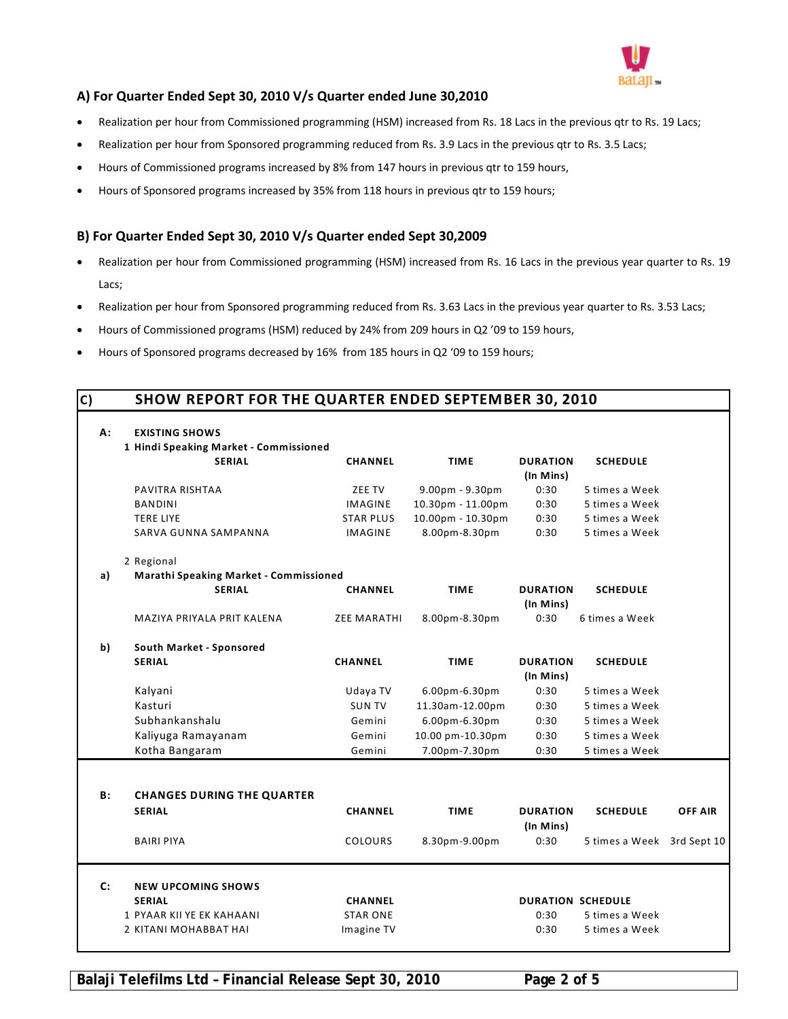

# **A) For Quarter Ended Sept 30, 2010 V/s Quarter ended June 30,2010**

- Realization per hour from Commissioned programming (HSM) increased from Rs. 18 Lacs in the previous qtr to Rs. 19 Lacs;
- Realization per hour from Sponsored programming reduced from Rs. 3.9 Lacs in the previous qtr to Rs. 3.5 Lacs;
- Hours of Commissioned programs increased by 8% from 147 hours in previous qtr to 159 hours,
- Hours of Sponsored programs increased by 35% from 118 hours in previous qtr to 159 hours;

# **B) For Quarter Ended Sept 30, 2010 V/s Quarter ended Sept 30,2009**

- Realization per hour from Commissioned programming (HSM) increased from Rs. 16 Lacs in the previous year quarter to Rs. 19 Lacs;
- Realization per hour from Sponsored programming reduced from Rs. 3.63 Lacs in the previous year quarter to Rs. 3.53 Lacs;
- Hours of Commissioned programs (HSM) reduced by 24% from 209 hours in Q2 '09 to 159 hours,
- Hours of Sponsored programs decreased by 16% from 185 hours in Q2 '09 to 159 hours;

# **C) SHOW REPORT FOR THE QUARTER ENDED SEPTEMBER 30, 2010**

| А:        | <b>EXISTING SHOWS</b>                                   |                    |                     |                              |                            |                |  |  |  |  |
|-----------|---------------------------------------------------------|--------------------|---------------------|------------------------------|----------------------------|----------------|--|--|--|--|
|           | 1 Hindi Speaking Market - Commissioned<br><b>SERIAL</b> | <b>CHANNEL</b>     | <b>TIME</b>         | <b>DURATION</b><br>(In Mins) | <b>SCHEDULE</b>            |                |  |  |  |  |
|           | PAVITRA RISHTAA                                         | ZEE TV             | $9.00pm - 9.30pm$   | 0:30                         | 5 times a Week             |                |  |  |  |  |
|           | <b>BANDINI</b>                                          | <b>IMAGINE</b>     | 10.30pm - 11.00pm   | 0:30                         | 5 times a Week             |                |  |  |  |  |
|           | <b>TERE LIYE</b>                                        | <b>STAR PLUS</b>   | $10.00pm - 10.30pm$ | 0:30                         | 5 times a Week             |                |  |  |  |  |
|           | SARVA GUNNA SAMPANNA                                    | <b>IMAGINE</b>     | 8.00pm-8.30pm       | 0:30                         | 5 times a Week             |                |  |  |  |  |
|           | 2 Regional                                              |                    |                     |                              |                            |                |  |  |  |  |
| a)        | Marathi Speaking Market - Commissioned                  |                    |                     |                              |                            |                |  |  |  |  |
|           | <b>SERIAL</b>                                           | <b>CHANNEL</b>     | <b>TIME</b>         | <b>DURATION</b><br>(In Mins) | <b>SCHEDULE</b>            |                |  |  |  |  |
|           | MAZIYA PRIYALA PRIT KALENA                              | <b>ZEE MARATHI</b> | 8.00pm-8.30pm       | 0:30                         | 6 times a Week             |                |  |  |  |  |
| b)        | South Market - Sponsored                                |                    |                     |                              |                            |                |  |  |  |  |
|           | <b>SERIAL</b>                                           | <b>CHANNEL</b>     | <b>TIME</b>         | <b>DURATION</b><br>(In Mins) | <b>SCHEDULE</b>            |                |  |  |  |  |
|           | Kalyani                                                 | Udaya TV           | 6.00pm-6.30pm       | 0:30                         | 5 times a Week             |                |  |  |  |  |
|           | Kasturi                                                 | <b>SUN TV</b>      | 11.30am-12.00pm     | 0:30                         | 5 times a Week             |                |  |  |  |  |
|           | Subhankanshalu                                          | Gemini             | 6.00pm-6.30pm       | 0:30                         | 5 times a Week             |                |  |  |  |  |
|           | Kaliyuga Ramayanam                                      | Gemini             | 10.00 pm-10.30pm    | 0:30                         | 5 times a Week             |                |  |  |  |  |
|           | Kotha Bangaram                                          | Gemini             | 7.00pm-7.30pm       | 0:30                         | 5 times a Week             |                |  |  |  |  |
|           |                                                         |                    |                     |                              |                            |                |  |  |  |  |
| <b>B:</b> | <b>CHANGES DURING THE QUARTER</b>                       |                    |                     |                              |                            |                |  |  |  |  |
|           | <b>SERIAL</b>                                           | <b>CHANNEL</b>     | <b>TIME</b>         | <b>DURATION</b><br>(In Mins) | <b>SCHEDULE</b>            | <b>OFF AIR</b> |  |  |  |  |
|           | <b>BAIRI PIYA</b>                                       | COLOURS            | 8.30pm-9.00pm       | 0:30                         | 5 times a Week 3rd Sept 10 |                |  |  |  |  |
|           |                                                         |                    |                     |                              |                            |                |  |  |  |  |
| C:        | <b>NEW UPCOMING SHOWS</b>                               |                    |                     |                              |                            |                |  |  |  |  |
|           | <b>SERIAL</b>                                           | <b>CHANNEL</b>     |                     | <b>DURATION SCHEDULE</b>     |                            |                |  |  |  |  |
|           | 1 PYAAR KII YE EK KAHAANI                               | <b>STAR ONE</b>    |                     | 0:30<br>0:30                 | 5 times a Week             |                |  |  |  |  |
|           | 2 KITANI MOHABBAT HAI                                   | Imagine TV         |                     |                              | 5 times a Week             |                |  |  |  |  |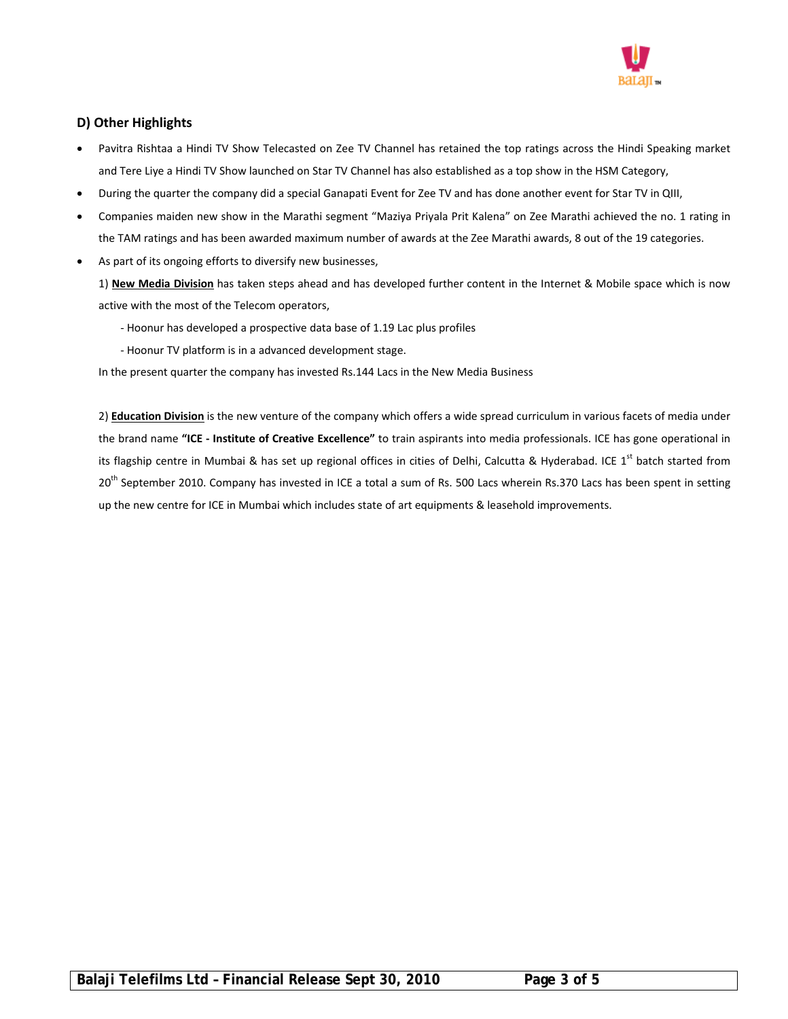

# **D) Other Highlights**

- Pavitra Rishtaa a Hindi TV Show Telecasted on Zee TV Channel has retained the top ratings across the Hindi Speaking market and Tere Liye a Hindi TV Show launched on Star TV Channel has also established as a top show in the HSM Category,
- During the quarter the company did a special Ganapati Event for Zee TV and has done another event for Star TV in QIII,
- Companies maiden new show in the Marathi segment "Maziya Priyala Prit Kalena" on Zee Marathi achieved the no. 1 rating in the TAM ratings and has been awarded maximum number of awards at the Zee Marathi awards, 8 out of the 19 categories.
- As part of its ongoing efforts to diversify new businesses,

1) **New Media Division** has taken steps ahead and has developed further content in the Internet & Mobile space which is now active with the most of the Telecom operators,

- ‐ Hoonur has developed a prospective data base of 1.19 Lac plus profiles
- ‐ Hoonur TV platform is in a advanced development stage.

In the present quarter the company has invested Rs.144 Lacs in the New Media Business

2) **Education Division** is the new venture of the company which offers a wide spread curriculum in various facets of media under the brand name **"ICE ‐ Institute of Creative Excellence"** to train aspirants into media professionals. ICE has gone operational in its flagship centre in Mumbai & has set up regional offices in cities of Delhi, Calcutta & Hyderabad. ICE  $1^{st}$  batch started from 20<sup>th</sup> September 2010. Company has invested in ICE a total a sum of Rs. 500 Lacs wherein Rs.370 Lacs has been spent in setting up the new centre for ICE in Mumbai which includes state of art equipments & leasehold improvements.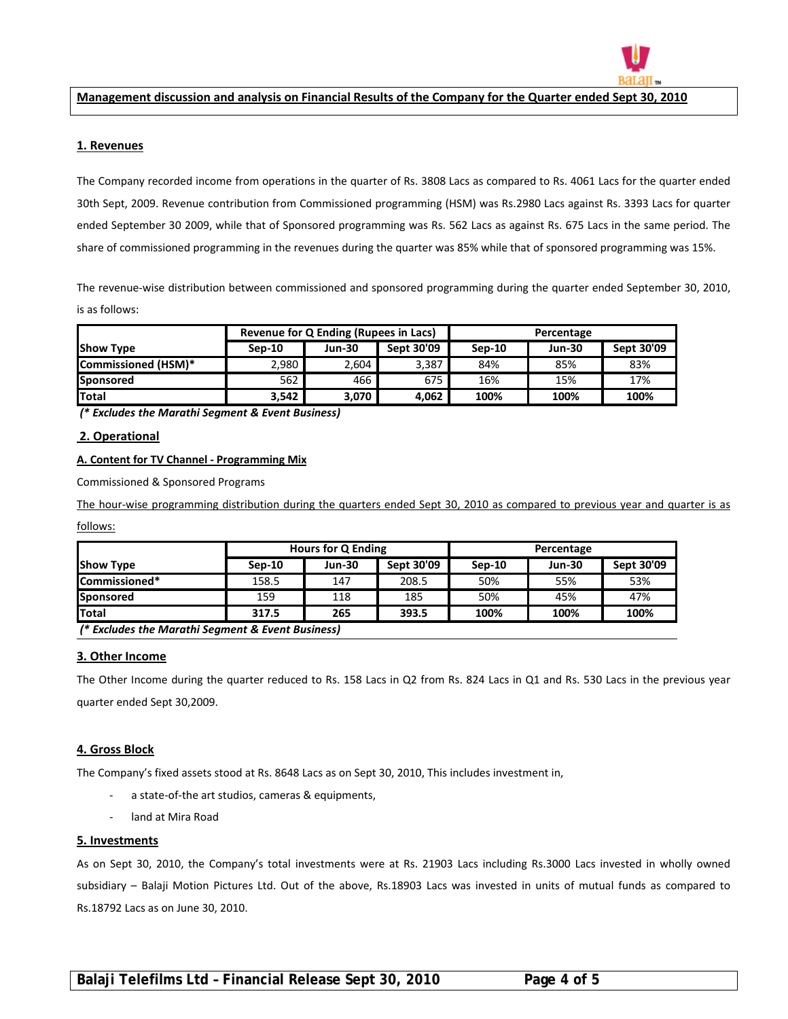

#### Management discussion and analysis on Financial Results of the Company for the Quarter ended Sept 30, 2010

#### **1. Revenues**

 $\overline{a}$ 

The Company recorded income from operations in the quarter of Rs. 3808 Lacs as compared to Rs. 4061 Lacs for the quarter ended 30th Sept, 2009. Revenue contribution from Commissioned programming (HSM) was Rs.2980 Lacs against Rs. 3393 Lacs for quarter ended September 30 2009, while that of Sponsored programming was Rs. 562 Lacs as against Rs. 675 Lacs in the same period. The share of commissioned programming in the revenues during the quarter was 85% while that of sponsored programming was 15%.

The revenue‐wise distribution between commissioned and sponsored programming during the quarter ended September 30, 2010, is as follows:

|                            | Revenue for Q Ending (Rupees in Lacs) |               |            | Percentage |               |            |  |
|----------------------------|---------------------------------------|---------------|------------|------------|---------------|------------|--|
| <b>Show Type</b>           | $Sen-10$                              | <b>Jun-30</b> | Sept 30'09 | Sep-10     | <b>Jun-30</b> | Sept 30'09 |  |
| <b>Commissioned (HSM)*</b> | 2,980                                 | 2,604         | 3,387      | 84%        | 85%           | 83%        |  |
| <b>Sponsored</b>           | 562                                   | 466           | 675        | 16%        | 15%           | 17%        |  |
| <b>Total</b>               | 3,542                                 | 3,070         | 4,062      | 100%       | 100%          | 100%       |  |

*(\* Excludes the Marathi Segment & Event Business)*

#### **2. Operational**

#### **A. Content for TV Channel ‐ Programming Mix**

Commissioned & Sponsored Programs

The hour-wise programming distribution during the quarters ended Sept 30, 2010 as compared to previous year and quarter is as follows:

|                  |          | <b>Hours for Q Ending</b> |            |          | Percentage    |            |  |  |
|------------------|----------|---------------------------|------------|----------|---------------|------------|--|--|
| <b>Show Type</b> | $Sen-10$ | <b>Jun-30</b>             | Sept 30'09 | $Sen-10$ | <b>Jun-30</b> | Sept 30'09 |  |  |
| Commissioned*    | 158.5    | 147                       | 208.5      | 50%      | 55%           | 53%        |  |  |
| <b>Sponsored</b> | 159      | 118                       | 185        | 50%      | 45%           | 47%        |  |  |
| Total            | 317.5    | 265                       | 393.5      | 100%     | 100%          | 100%       |  |  |

*(\* Excludes the Marathi Segment & Event Business)*

#### **3. Other Income**

The Other Income during the quarter reduced to Rs. 158 Lacs in Q2 from Rs. 824 Lacs in Q1 and Rs. 530 Lacs in the previous year quarter ended Sept 30,2009.

## **4. Gross Block**

The Company's fixed assets stood at Rs. 8648 Lacs as on Sept 30, 2010, This includes investment in,

- a state-of-the art studios, cameras & equipments,
- land at Mira Road

#### **5. Investments**

As on Sept 30, 2010, the Company's total investments were at Rs. 21903 Lacs including Rs.3000 Lacs invested in wholly owned subsidiary – Balaji Motion Pictures Ltd. Out of the above, Rs.18903 Lacs was invested in units of mutual funds as compared to Rs.18792 Lacs as on June 30, 2010.